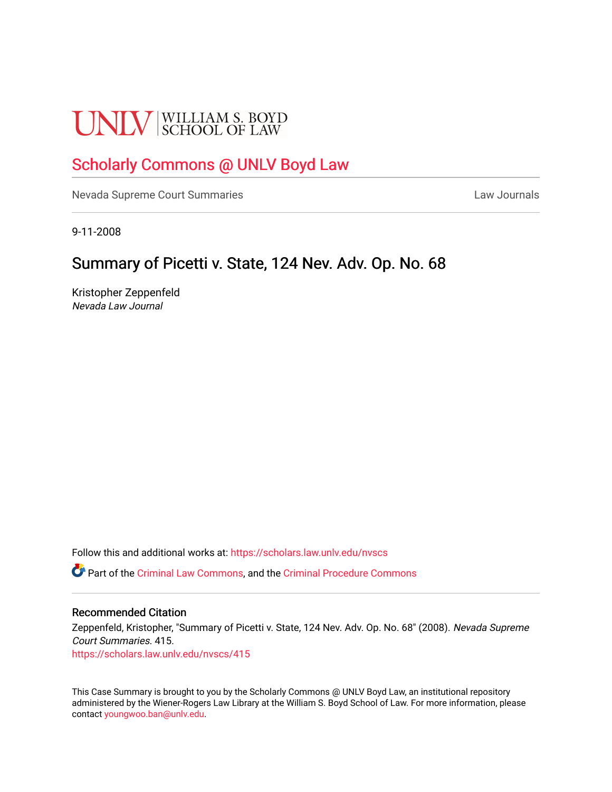# **UNLV** SCHOOL OF LAW

# [Scholarly Commons @ UNLV Boyd Law](https://scholars.law.unlv.edu/)

[Nevada Supreme Court Summaries](https://scholars.law.unlv.edu/nvscs) **Law Journals** Law Journals

9-11-2008

# Summary of Picetti v. State, 124 Nev. Adv. Op. No. 68

Kristopher Zeppenfeld Nevada Law Journal

Follow this and additional works at: [https://scholars.law.unlv.edu/nvscs](https://scholars.law.unlv.edu/nvscs?utm_source=scholars.law.unlv.edu%2Fnvscs%2F415&utm_medium=PDF&utm_campaign=PDFCoverPages)

Part of the [Criminal Law Commons,](http://network.bepress.com/hgg/discipline/912?utm_source=scholars.law.unlv.edu%2Fnvscs%2F415&utm_medium=PDF&utm_campaign=PDFCoverPages) and the [Criminal Procedure Commons](http://network.bepress.com/hgg/discipline/1073?utm_source=scholars.law.unlv.edu%2Fnvscs%2F415&utm_medium=PDF&utm_campaign=PDFCoverPages)

#### Recommended Citation

Zeppenfeld, Kristopher, "Summary of Picetti v. State, 124 Nev. Adv. Op. No. 68" (2008). Nevada Supreme Court Summaries. 415.

[https://scholars.law.unlv.edu/nvscs/415](https://scholars.law.unlv.edu/nvscs/415?utm_source=scholars.law.unlv.edu%2Fnvscs%2F415&utm_medium=PDF&utm_campaign=PDFCoverPages)

This Case Summary is brought to you by the Scholarly Commons @ UNLV Boyd Law, an institutional repository administered by the Wiener-Rogers Law Library at the William S. Boyd School of Law. For more information, please contact [youngwoo.ban@unlv.edu](mailto:youngwoo.ban@unlv.edu).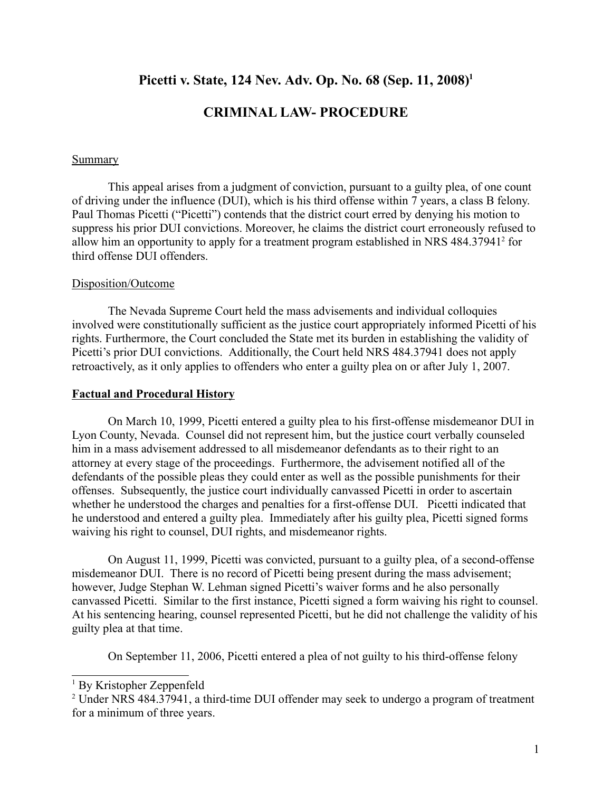# **Picetti v. State, 124 Nev. Adv. Op. No. 68 (Sep. 11, 2008)1**

# **CRIMINAL LAW- PROCEDURE**

#### **Summary**

This appeal arises from a judgment of conviction, pursuant to a guilty plea, of one count of driving under the influence (DUI), which is his third offense within 7 years, a class B felony. Paul Thomas Picetti ("Picetti") contends that the district court erred by denying his motion to suppress his prior DUI convictions. Moreover, he claims the district court erroneously refused to allow him an opportunity to apply for a treatment program established in NRS 484.37941<sup>2</sup> for third offense DUI offenders.

#### Disposition/Outcome

The Nevada Supreme Court held the mass advisements and individual colloquies involved were constitutionally sufficient as the justice court appropriately informed Picetti of his rights. Furthermore, the Court concluded the State met its burden in establishing the validity of Picetti's prior DUI convictions. Additionally, the Court held NRS 484.37941 does not apply retroactively, as it only applies to offenders who enter a guilty plea on or after July 1, 2007.

#### **Factual and Procedural History**

On March 10, 1999, Picetti entered a guilty plea to his first-offense misdemeanor DUI in Lyon County, Nevada. Counsel did not represent him, but the justice court verbally counseled him in a mass advisement addressed to all misdemeanor defendants as to their right to an attorney at every stage of the proceedings. Furthermore, the advisement notified all of the defendants of the possible pleas they could enter as well as the possible punishments for their offenses. Subsequently, the justice court individually canvassed Picetti in order to ascertain whether he understood the charges and penalties for a first-offense DUI. Picetti indicated that he understood and entered a guilty plea. Immediately after his guilty plea, Picetti signed forms waiving his right to counsel, DUI rights, and misdemeanor rights.

On August 11, 1999, Picetti was convicted, pursuant to a guilty plea, of a second-offense misdemeanor DUI. There is no record of Picetti being present during the mass advisement; however, Judge Stephan W. Lehman signed Picetti's waiver forms and he also personally canvassed Picetti. Similar to the first instance, Picetti signed a form waiving his right to counsel. At his sentencing hearing, counsel represented Picetti, but he did not challenge the validity of his guilty plea at that time.

On September 11, 2006, Picetti entered a plea of not guilty to his third-offense felony

<sup>1</sup> By Kristopher Zeppenfeld

<sup>&</sup>lt;sup>2</sup> Under NRS 484.37941, a third-time DUI offender may seek to undergo a program of treatment for a minimum of three years.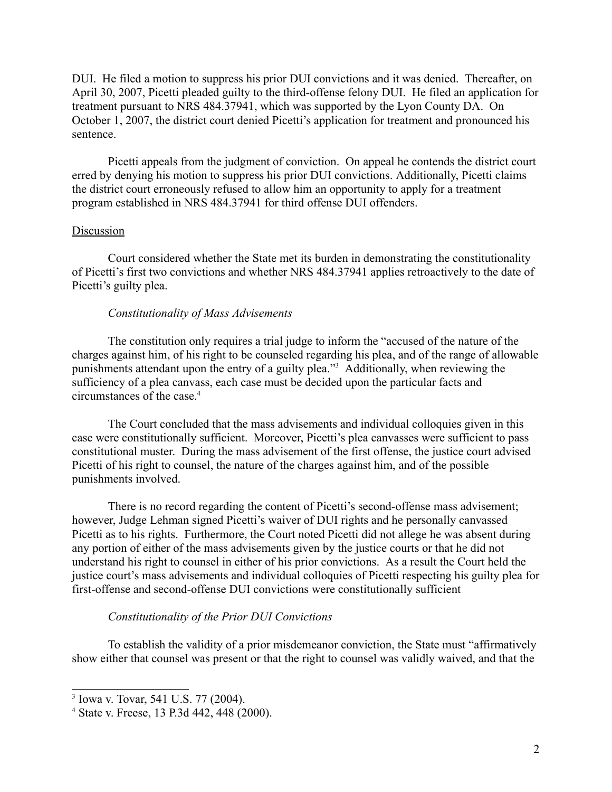DUI. He filed a motion to suppress his prior DUI convictions and it was denied. Thereafter, on April 30, 2007, Picetti pleaded guilty to the third-offense felony DUI. He filed an application for treatment pursuant to NRS 484.37941, which was supported by the Lyon County DA. On October 1, 2007, the district court denied Picetti's application for treatment and pronounced his sentence.

Picetti appeals from the judgment of conviction. On appeal he contends the district court erred by denying his motion to suppress his prior DUI convictions. Additionally, Picetti claims the district court erroneously refused to allow him an opportunity to apply for a treatment program established in NRS 484.37941 for third offense DUI offenders.

#### Discussion

Court considered whether the State met its burden in demonstrating the constitutionality of Picetti's first two convictions and whether NRS 484.37941 applies retroactively to the date of Picetti's guilty plea.

#### *Constitutionality of Mass Advisements*

The constitution only requires a trial judge to inform the "accused of the nature of the charges against him, of his right to be counseled regarding his plea, and of the range of allowable punishments attendant upon the entry of a guilty plea."3 Additionally, when reviewing the sufficiency of a plea canvass, each case must be decided upon the particular facts and circumstances of the case.4

The Court concluded that the mass advisements and individual colloquies given in this case were constitutionally sufficient. Moreover, Picetti's plea canvasses were sufficient to pass constitutional muster. During the mass advisement of the first offense, the justice court advised Picetti of his right to counsel, the nature of the charges against him, and of the possible punishments involved.

There is no record regarding the content of Picetti's second-offense mass advisement; however, Judge Lehman signed Picetti's waiver of DUI rights and he personally canvassed Picetti as to his rights. Furthermore, the Court noted Picetti did not allege he was absent during any portion of either of the mass advisements given by the justice courts or that he did not understand his right to counsel in either of his prior convictions. As a result the Court held the justice court's mass advisements and individual colloquies of Picetti respecting his guilty plea for first-offense and second-offense DUI convictions were constitutionally sufficient

#### *Constitutionality of the Prior DUI Convictions*

To establish the validity of a prior misdemeanor conviction, the State must "affirmatively show either that counsel was present or that the right to counsel was validly waived, and that the

<sup>3</sup> Iowa v. Tovar, 541 U.S. 77 (2004).

<sup>4</sup> State v. Freese, 13 P.3d 442, 448 (2000).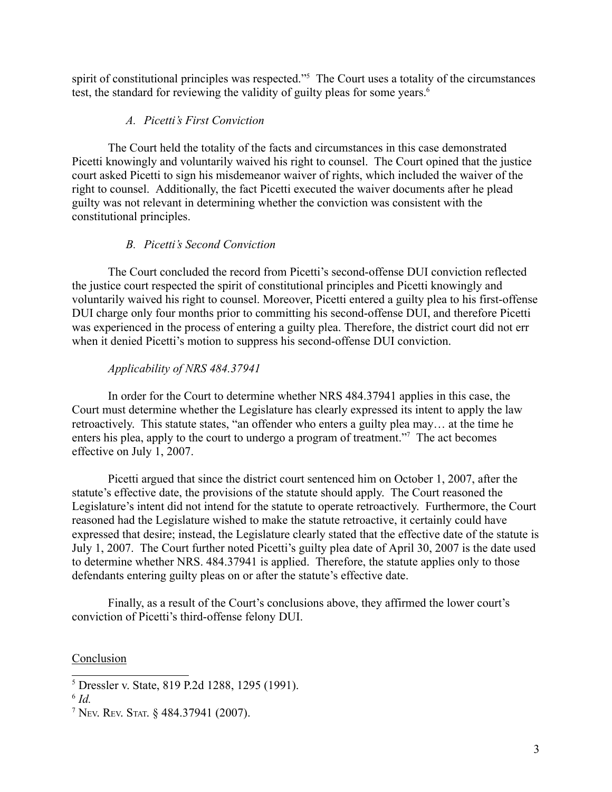spirit of constitutional principles was respected."<sup>5</sup> The Court uses a totality of the circumstances test, the standard for reviewing the validity of guilty pleas for some years.<sup>6</sup>

### *A. Picetti's First Conviction*

The Court held the totality of the facts and circumstances in this case demonstrated Picetti knowingly and voluntarily waived his right to counsel. The Court opined that the justice court asked Picetti to sign his misdemeanor waiver of rights, which included the waiver of the right to counsel. Additionally, the fact Picetti executed the waiver documents after he plead guilty was not relevant in determining whether the conviction was consistent with the constitutional principles.

## *B. Picetti's Second Conviction*

The Court concluded the record from Picetti's second-offense DUI conviction reflected the justice court respected the spirit of constitutional principles and Picetti knowingly and voluntarily waived his right to counsel. Moreover, Picetti entered a guilty plea to his first-offense DUI charge only four months prior to committing his second-offense DUI, and therefore Picetti was experienced in the process of entering a guilty plea. Therefore, the district court did not err when it denied Picetti's motion to suppress his second-offense DUI conviction.

## *Applicability of NRS 484.37941*

In order for the Court to determine whether NRS 484.37941 applies in this case, the Court must determine whether the Legislature has clearly expressed its intent to apply the law retroactively. This statute states, "an offender who enters a guilty plea may… at the time he enters his plea, apply to the court to undergo a program of treatment."<sup>7</sup> The act becomes effective on July 1, 2007.

Picetti argued that since the district court sentenced him on October 1, 2007, after the statute's effective date, the provisions of the statute should apply. The Court reasoned the Legislature's intent did not intend for the statute to operate retroactively. Furthermore, the Court reasoned had the Legislature wished to make the statute retroactive, it certainly could have expressed that desire; instead, the Legislature clearly stated that the effective date of the statute is July 1, 2007. The Court further noted Picetti's guilty plea date of April 30, 2007 is the date used to determine whether NRS. 484.37941 is applied. Therefore, the statute applies only to those defendants entering guilty pleas on or after the statute's effective date.

Finally, as a result of the Court's conclusions above, they affirmed the lower court's conviction of Picetti's third-offense felony DUI.

## Conclusion

<sup>5</sup> Dressler v. State, 819 P.2d 1288, 1295 (1991).

<sup>6</sup> *Id.*

<sup>7</sup> NEV. REV. STAT. § 484.37941 (2007).